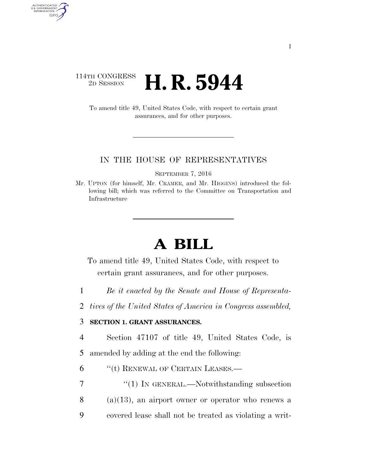## 114TH CONGRESS<br>2D SESSION **H. R. 5944**

AUTHENTICATED<br>U.S. GOVERNMENT<br>INFORMATION GPO

> To amend title 49, United States Code, with respect to certain grant assurances, and for other purposes.

## IN THE HOUSE OF REPRESENTATIVES

SEPTEMBER 7, 2016

Mr. UPTON (for himself, Mr. CRAMER, and Mr. HIGGINS) introduced the following bill; which was referred to the Committee on Transportation and Infrastructure

## **A BILL**

To amend title 49, United States Code, with respect to certain grant assurances, and for other purposes.

1 *Be it enacted by the Senate and House of Representa-*

2 *tives of the United States of America in Congress assembled,* 

## 3 **SECTION 1. GRANT ASSURANCES.**

4 Section 47107 of title 49, United States Code, is 5 amended by adding at the end the following:

6 "(t) RENEWAL OF CERTAIN LEASES.—

7 "(1) IN GENERAL.—Notwithstanding subsection  $8$  (a)(13), an airport owner or operator who renews a 9 covered lease shall not be treated as violating a writ-